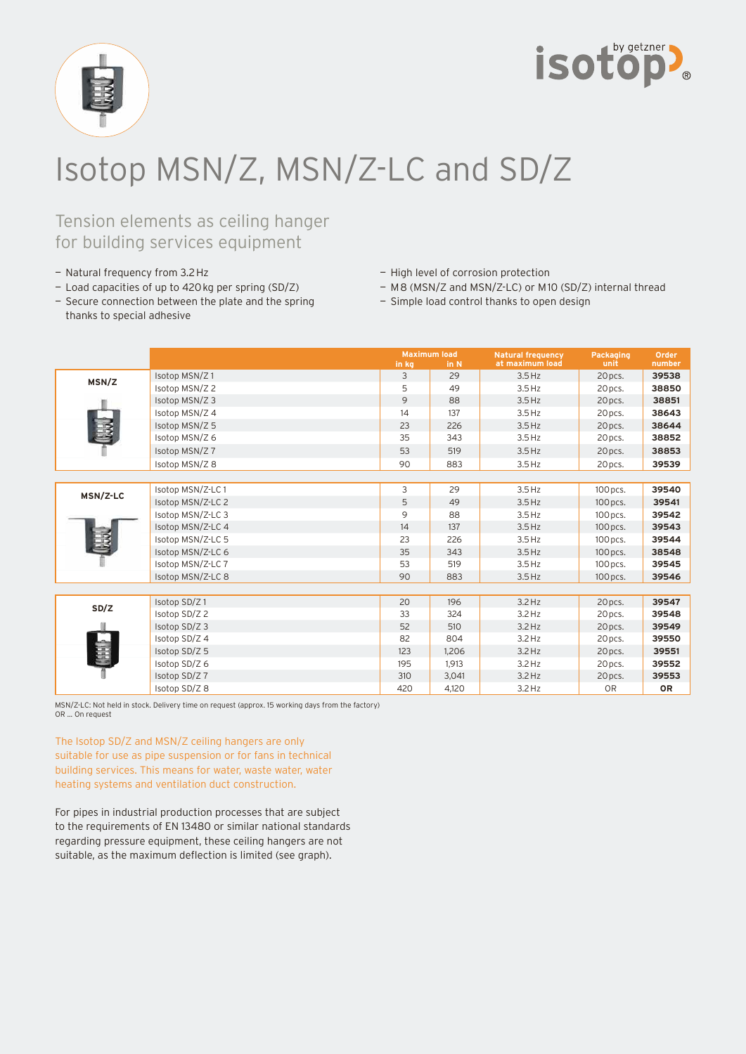



## Isotop MSN/Z, MSN/Z-LC and SD/Z

### Tension elements as ceiling hanger for building services equipment

- Natural frequency from 3.2 Hz
- Load capacities of up to 420 kg per spring (SD/Z)
- High level of corrosion protection
- M 8 (MSN/Z and MSN/Z-LC) or M 10 (SD/Z) internal thread
- Secure connection between the plate and the spring thanks to special adhesive
- Simple load control thanks to open design

|          |                   | <b>Maximum load</b> |       | <b>Natural frequency</b> | Packaging      | Order     |
|----------|-------------------|---------------------|-------|--------------------------|----------------|-----------|
|          |                   | in kg               | in N  | at maximum load          | unit           | number    |
| MSN/Z    | Isotop MSN/Z1     | $\overline{3}$      | 29    | $3.5$ Hz                 | 20 pcs.        | 39538     |
|          | Isotop MSN/Z 2    | 5                   | 49    | $3.5$ Hz                 | 20 pcs.        | 38850     |
|          | Isotop MSN/Z 3    | 9                   | 88    | $3.5$ Hz                 | 20 pcs.        | 38851     |
|          | Isotop MSN/Z 4    | 14                  | 137   | $3.5$ Hz                 | 20 pcs.        | 38643     |
|          | Isotop MSN/Z 5    | 23                  | 226   | $3.5$ Hz                 | 20 pcs.        | 38644     |
|          | Isotop MSN/Z 6    | 35                  | 343   | $3.5$ Hz                 | 20 pcs.        | 38852     |
|          | Isotop MSN/Z 7    | 53                  | 519   | $3.5$ Hz                 | 20 pcs.        | 38853     |
|          | Isotop MSN/Z 8    | 90                  | 883   | $3.5$ Hz                 | 20 pcs.        | 39539     |
|          |                   |                     |       |                          |                |           |
| MSN/Z-LC | Isotop MSN/Z-LC1  | 3                   | 29    | $3.5$ Hz                 | 100 pcs.       | 39540     |
|          | Isotop MSN/Z-LC 2 | 5                   | 49    | $3.5$ Hz                 | 100 pcs.       | 39541     |
|          | Isotop MSN/Z-LC 3 | 9                   | 88    | $3.5$ Hz                 | 100 pcs.       | 39542     |
|          | Isotop MSN/Z-LC 4 | 14                  | 137   | $3.5$ Hz                 | 100 pcs.       | 39543     |
|          | Isotop MSN/Z-LC 5 | 23                  | 226   | $3.5$ Hz                 | 100 pcs.       | 39544     |
|          | Isotop MSN/Z-LC 6 | 35                  | 343   | $3.5$ Hz                 | $100$ pcs.     | 38548     |
|          | Isotop MSN/Z-LC 7 | 53                  | 519   | $3.5$ Hz                 | 100 pcs.       | 39545     |
|          | Isotop MSN/Z-LC 8 | 90                  | 883   | $3.5$ Hz                 | 100 pcs.       | 39546     |
|          |                   |                     |       |                          |                |           |
| SD/Z     | Isotop SD/Z1      | 20                  | 196   | $3.2$ Hz                 | 20 pcs.        | 39547     |
|          | Isotop SD/Z 2     | 33                  | 324   | $3.2$ Hz                 | 20 pcs.        | 39548     |
|          | Isotop SD/Z 3     | 52                  | 510   | $3.2$ Hz                 | 20 pcs.        | 39549     |
|          | Isotop SD/Z 4     | 82                  | 804   | $3.2$ Hz                 | 20 pcs.        | 39550     |
|          | Isotop SD/Z 5     | 123                 | 1,206 | $3.2$ Hz                 | 20 pcs.        | 39551     |
|          | Isotop SD/Z 6     | 195                 | 1.913 | $3.2$ Hz                 | 20 pcs.        | 39552     |
|          | Isotop SD/Z 7     | 310                 | 3,041 | $3.2$ Hz                 | 20 pcs.        | 39553     |
|          | Isotop SD/Z 8     | 420                 | 4.120 | $3.2$ Hz                 | 0 <sub>R</sub> | <b>OR</b> |

MSN/Z-LC: Not held in stock. Delivery time on request (approx. 15 working days from the factory) OR ... On request

The Isotop SD/Z and MSN/Z ceiling hangers are only suitable for use as pipe suspension or for fans in technical building services. This means for water, waste water, water heating systems and ventilation duct construction.

For pipes in industrial production processes that are subject to the requirements of EN 13480 or similar national standards regarding pressure equipment, these ceiling hangers are not suitable, as the maximum deflection is limited (see graph).